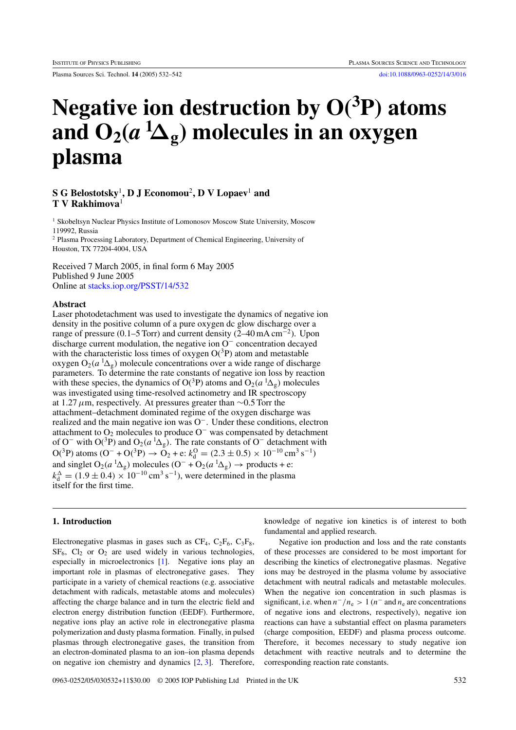Plasma Sources Sci. Technol. **14** (2005) 532–542 [doi:10.1088/0963-0252/14/3/016](http://dx.doi.org/10.1088/0963-0252/14/3/016)

# **Negative ion destruction by O(3P) atoms** and  $O_2(a^1\Delta_g)$  molecules in an oxygen **plasma**

# **S G Belostotsky**<sup>1</sup>**, D J Economou**<sup>2</sup>**, D V Lopaev**<sup>1</sup> **and T V Rakhimova**<sup>1</sup>

<sup>1</sup> Skobeltsyn Nuclear Physics Institute of Lomonosov Moscow State University, Moscow 119992, Russia

<sup>2</sup> Plasma Processing Laboratory, Department of Chemical Engineering, University of Houston, TX 77204-4004, USA

Received 7 March 2005, in final form 6 May 2005 Published 9 June 2005 Online at [stacks.iop.org/PSST/14/532](http://stacks.iop.org/ps/14/532)

# **Abstract**

Laser photodetachment was used to investigate the dynamics of negative ion density in the positive column of a pure oxygen dc glow discharge over a range of pressure (0.1–5 Torr) and current density ( $2$ –40 mA cm<sup>-2</sup>). Upon discharge current modulation, the negative ion O<sup>−</sup> concentration decayed with the characteristic loss times of oxygen  $O(3P)$  atom and metastable oxygen  $O_2(a^{-1}\Delta_g)$  molecule concentrations over a wide range of discharge parameters. To determine the rate constants of negative ion loss by reaction with these species, the dynamics of O(<sup>3</sup>P) atoms and O<sub>2</sub>( $a^{1}\Delta_{g}$ ) molecules was investigated using time-resolved actinometry and IR spectroscopy at 1.27*µ*m, respectively. At pressures greater than ∼0.5 Torr the attachment–detachment dominated regime of the oxygen discharge was realized and the main negative ion was O−. Under these conditions, electron attachment to  $O_2$  molecules to produce  $O^-$  was compensated by detachment of O<sup>-</sup> with O(<sup>3</sup>P) and O<sub>2</sub>( $a^{1}\Delta_{g}$ ). The rate constants of O<sup>-</sup> detachment with O(<sup>3</sup>P) atoms (O<sup>−</sup> + O(<sup>3</sup>P) → O<sub>2</sub> + e:  $k_d^O$  = (2.3 ± 0.5) × 10<sup>-10</sup> cm<sup>3</sup> s<sup>-1</sup>) and singlet  $O_2(a^{-1}\Delta_g)$  molecules  $(O^- + O_2(a^{-1}\Delta_g) \rightarrow$  products + e:  $k_{\rm d}^{\Delta} = (1.9 \pm 0.4) \times 10^{-10} \text{ cm}^3 \text{ s}^{-1}$ , were determined in the plasma itself for the first time.

# **1. Introduction**

Electronegative plasmas in gases such as  $CF_4$ ,  $C_2F_6$ ,  $C_3F_8$ ,  $SF_6$ ,  $Cl_2$  or  $O_2$  are used widely in various technologies, especially in microelectronics [\[1\]](#page-9-0). Negative ions play an important role in plasmas of electronegative gases. They participate in a variety of chemical reactions (e.g. associative detachment with radicals, metastable atoms and molecules) affecting the charge balance and in turn the electric field and electron energy distribution function (EEDF). Furthermore, negative ions play an active role in electronegative plasma polymerization and dusty plasma formation. Finally, in pulsed plasmas through electronegative gases, the transition from an electron-dominated plasma to an ion–ion plasma depends on negative ion chemistry and dynamics [\[2,](#page-9-0) [3\]](#page-9-0). Therefore,

knowledge of negative ion kinetics is of interest to both fundamental and applied research.

Negative ion production and loss and the rate constants of these processes are considered to be most important for describing the kinetics of electronegative plasmas. Negative ions may be destroyed in the plasma volume by associative detachment with neutral radicals and metastable molecules. When the negative ion concentration in such plasmas is significant, i.e. when  $n^{-}/n_e > 1$  ( $n^{-}$  and  $n_e$  are concentrations of negative ions and electrons, respectively), negative ion reactions can have a substantial effect on plasma parameters (charge composition, EEDF) and plasma process outcome. Therefore, it becomes necessary to study negative ion detachment with reactive neutrals and to determine the corresponding reaction rate constants.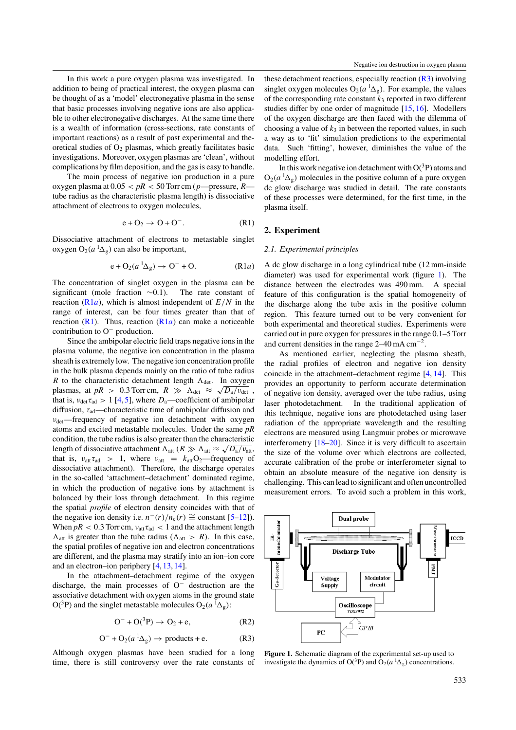<span id="page-1-0"></span>In this work a pure oxygen plasma was investigated. In addition to being of practical interest, the oxygen plasma can be thought of as a 'model' electronegative plasma in the sense that basic processes involving negative ions are also applicable to other electronegative discharges. At the same time there is a wealth of information (cross-sections, rate constants of important reactions) as a result of past experimental and theoretical studies of  $O_2$  plasmas, which greatly facilitates basic investigations. Moreover, oxygen plasmas are 'clean', without complications by film deposition, and the gas is easy to handle.

The main process of negative ion production in a pure oxygen plasma at  $0.05 < pR < 50$  Torr cm (*p*—pressure, *R* tube radius as the characteristic plasma length) is dissociative attachment of electrons to oxygen molecules,

$$
e + O_2 \rightarrow O + O^-.
$$
 (R1)

Dissociative attachment of electrons to metastable singlet oxygen  $O_2(a^{-1}\Delta_g)$  can also be important,

$$
e + O_2(a^1 \Delta_g) \to O^- + O. \tag{R1a}
$$

The concentration of singlet oxygen in the plasma can be significant (mole fraction ∼0.1). The rate constant of reaction  $(R1a)$ , which is almost independent of  $E/N$  in the range of interest, can be four times greater than that of reaction  $(R1)$ . Thus, reaction  $(R1a)$  can make a noticeable contribution to O<sup>−</sup> production.

Since the ambipolar electric field traps negative ions in the plasma volume, the negative ion concentration in the plasma sheath is extremely low. The negative ion concentration profile in the bulk plasma depends mainly on the ratio of tube radius *R* to the characteristic detachment length  $\Lambda_{\text{det}}$ . In oxygen plasmas, at  $pR > 0.3$  Torr cm,  $R \gg \Lambda_{\text{det}} \approx \sqrt{D_a/v_{\text{det}}}$ , that is,  $v_{\text{det}} \tau_{\text{ad}} > 1$  [\[4,](#page-9-0) [5\]](#page-10-0), where  $D_{\text{a}}$ —coefficient of ambipolar diffusion, τ<sub>ad</sub>—characteristic time of ambipolar diffusion and *ν*<sub>det</sub>—frequency of negative ion detachment with oxygen atoms and excited metastable molecules. Under the same *pR* condition, the tube radius is also greater than the characteristic length of dissociative attachment  $\Lambda$ <sub>att</sub> ( $R \gg \Lambda$ <sub>att</sub>  $\approx \sqrt{D_a/v_{\text{att}}},$ that is,  $v_{\text{att}}\tau_{\text{ad}} > 1$ , where  $v_{\text{att}} = k_{\text{att}}O_2$ —frequency of dissociative attachment). Therefore, the discharge operates in the so-called 'attachment–detachment' dominated regime, in which the production of negative ions by attachment is balanced by their loss through detachment. In this regime the spatial *profile* of electron density coincides with that of the negative ion density i.e.  $n^{-}(r)/n_e(r)$  ≅ constant [\[5–12\]](#page-10-0)). When  $pR < 0.3$  Torr cm,  $v_{\text{att}}\tau_{\text{ad}} < 1$  and the attachment length  $\Lambda_{\text{att}}$  is greater than the tube radius ( $\Lambda_{\text{att}} > R$ ). In this case, the spatial profiles of negative ion and electron concentrations are different, and the plasma may stratify into an ion–ion core and an electron–ion periphery [\[4,](#page-9-0) [13,](#page-10-0) [14\]](#page-10-0).

In the attachment–detachment regime of the oxygen discharge, the main processes of O<sup>−</sup> destruction are the associative detachment with oxygen atoms in the ground state  $O(^3P)$  and the singlet metastable molecules  $O_2(a^1\Delta_g)$ :

$$
O^{-} + O(^{3}P) \to O_{2} + e,
$$
 (R2)

$$
O^- + O_2(a^1 \Delta_g) \to \text{products} + e. \tag{R3}
$$

Although oxygen plasmas have been studied for a long time, there is still controversy over the rate constants of

these detachment reactions, especially reaction  $(R<sub>3</sub>)$  involving singlet oxygen molecules  $O_2(a^2\Delta_g)$ . For example, the values of the corresponding rate constant  $k_3$  reported in two different studies differ by one order of magnitude [\[15,](#page-10-0) [16\]](#page-10-0). Modellers of the oxygen discharge are then faced with the dilemma of choosing a value of  $k_3$  in between the reported values, in such a way as to 'fit' simulation predictions to the experimental data. Such 'fitting', however, diminishes the value of the modelling effort.

In this work negative ion detachment with  $O(^3P)$  atoms and  $O_2(a^1\Delta_g)$  molecules in the positive column of a pure oxygen dc glow discharge was studied in detail. The rate constants of these processes were determined, for the first time, in the plasma itself.

### **2. Experiment**

### *2.1. Experimental principles*

A dc glow discharge in a long cylindrical tube (12 mm-inside diameter) was used for experimental work (figure 1). The distance between the electrodes was 490 mm. A special feature of this configuration is the spatial homogeneity of the discharge along the tube axis in the positive column region. This feature turned out to be very convenient for both experimental and theoretical studies. Experiments were carried out in pure oxygen for pressures in the range 0.1–5 Torr and current densities in the range  $2-40$  mA cm<sup>-2</sup>.

As mentioned earlier, neglecting the plasma sheath, the radial profiles of electron and negative ion density coincide in the attachment–detachment regime [\[4,](#page-9-0) [14\]](#page-10-0). This provides an opportunity to perform accurate determination of negative ion density, averaged over the tube radius, using laser photodetachment. In the traditional application of this technique, negative ions are photodetached using laser radiation of the appropriate wavelength and the resulting electrons are measured using Langmuir probes or microwave interferometry [\[18–20\]](#page-10-0). Since it is very difficult to ascertain the size of the volume over which electrons are collected, accurate calibration of the probe or interferometer signal to obtain an absolute measure of the negative ion density is challenging. This can lead to significant and often uncontrolled measurement errors. To avoid such a problem in this work,



**Figure 1.** Schematic diagram of the experimental set-up used to investigate the dynamics of O(<sup>3</sup>P) and O<sub>2</sub>( $a$ <sup>1</sup> $\Delta$ <sub>g</sub>) concentrations.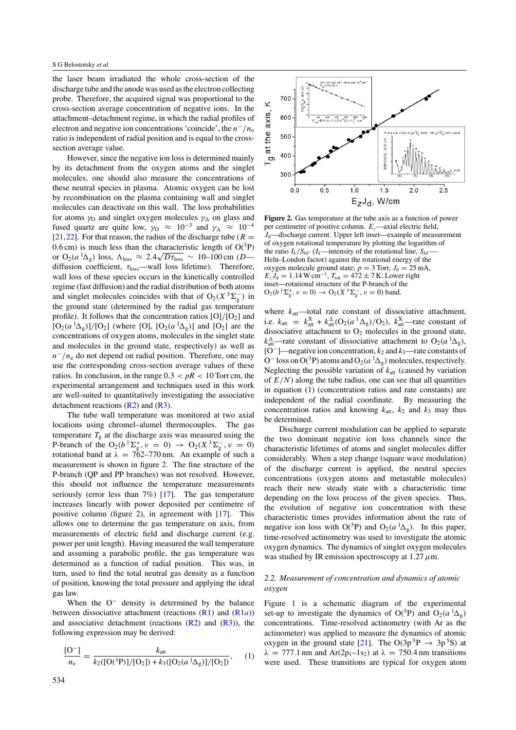<span id="page-2-0"></span>the laser beam irradiated the whole cross-section of the discharge tube and the anode was used as the electron collecting probe. Therefore, the acquired signal was proportional to the cross-section average concentration of negative ions. In the attachment–detachment regime, in which the radial profiles of electron and negative ion concentrations 'coincide', the *n*−*/n*<sup>e</sup> ratio is independent of radial position and is equal to the crosssection average value.

However, since the negative ion loss is determined mainly by its detachment from the oxygen atoms and the singlet molecules, one should also measure the concentrations of these neutral species in plasma. Atomic oxygen can be lost by recombination on the plasma containing wall and singlet molecules can deactivate on this wall. The loss probabilities for atoms  $\gamma_0$  and singlet oxygen molecules  $\gamma_\Delta$  on glass and fused quartz are quite low,  $\gamma_{\text{O}} \approx 10^{-3}$  and  $\gamma_{\text{A}} \approx 10^{-4}$ [\[21,22\]](#page-10-0). For that reason, the radius of the discharge tube ( $R =$ 0.6 cm) is much less than the characteristic length of  $O(^3P)$ or  $O_2(a^1\Delta_g)$  loss,  $\Lambda_{\text{loss}} \approx 2.4\sqrt{D\tau_{\text{loss}}} \sim 10-100 \text{ cm } (D$ diffusion coefficient, *τ*loss—wall loss lifetime). Therefore, wall loss of these species occurs in the kinetically controlled regime (fast diffusion) and the radial distribution of both atoms and singlet molecules coincides with that of  $O_2(X^3\Sigma_g^-)$  in the ground state (determined by the radial gas temperature profile). It follows that the concentration ratios  $[O]/[O_2]$  and  $[O_2(a^1\Delta_g)]/[O_2]$  (where [O],  $[O_2(a^1\Delta_g)]$  and  $[O_2]$  are the concentrations of oxygen atoms, molecules in the singlet state and molecules in the ground state, respectively) as well as *n*<sup>−</sup>/*n*<sub>e</sub> do not depend on radial position. Therefore, one may use the corresponding cross-section average values of these ratios. In conclusion, in the range  $0.3 < pR < 10$  Torr cm, the experimental arrangement and techniques used in this work are well-suited to quantitatively investigating the associative detachment reactions  $(R2)$  and  $(R3)$ .

The tube wall temperature was monitored at two axial locations using chromel–alumel thermocouples. The gas temperature  $T<sub>g</sub>$  at the discharge axis was measured using the P-branch of the  $O_2(b^1\Sigma_g^+, \nu = 0) \rightarrow O_2(X^3\Sigma_g^-, \nu = 0)$ rotational band at  $\lambda = 762-770$  nm. An example of such a measurement is shown in figure 2. The fine structure of the P-branch (QP and PP branches) was not resolved. However, this should not influence the temperature measurements seriously (error less than 7%) [\[17\]](#page-10-0). The gas temperature increases linearly with power deposited per centimetre of positive column (figure 2), in agreement with [\[17\]](#page-10-0). This allows one to determine the gas temperature on axis, from measurements of electric field and discharge current (e.g. power per unit length). Having measured the wall temperature and assuming a parabolic profile, the gas temperature was determined as a function of radial position. This was, in turn, used to find the total neutral gas density as a function of position, knowing the total pressure and applying the ideal gas law.

When the O<sup>−</sup> density is determined by the balance between dissociative attachment (reactions [\(R1\)](#page-1-0) and [\(R1](#page-1-0)*a*)) and associative detachment (reactions  $(R2)$  and  $(R3)$ ), the following expression may be derived:

$$
\frac{[O^-]}{n_e} = \frac{k_{\text{att}}}{k_2([O(^3P)]/[O_2]) + k_3([O_2(a^1\Delta_g)]/[O_2])},\tag{1}
$$



**Figure 2.** Gas temperature at the tube axis as a function of power per centimetre of positive column. *Ez*—axial electric field, *J*<sub>d</sub>—discharge current. Upper left inset—example of measurement of oxygen rotational temperature by plotting the logarithm of the ratio  $I_k/S_{kk'}$  ( $I_k$ —intensity of the rotational line,  $S_{kk'}$ Heln–London factor) against the rotational energy of the oxygen molecule ground state;  $p = 3$  Torr,  $J_d = 25$  mA,  $E_z J_d = 1.14 \text{ W cm}^{-1}$ ,  $T_{rot} = 472 \pm 7 \text{ K}$ . Lower right inset—rotational structure of the P-branch of the  $O_2(b^1\Sigma_g^+, \nu = 0) \to O_2(X^3\Sigma_g^-, \nu = 0)$  band.

where  $k_{\text{att}}$ —total rate constant of dissociative attachment, i.e.  $k_{\text{att}} = k_{\text{att}}^{\text{X}} + k_{\text{att}}^{\Delta} (O_2(a^{1}\Delta_g)/O_2)$ ,  $k_{\text{att}}^{\text{X}}$ —rate constant of dissociative attachment to  $O_2$  molecules in the ground state,  $k_{\text{att}}^{\Delta}$ —rate constant of dissociative attachment to O<sub>2</sub>( $a^{\dagger}$  $\Delta$ <sub>g</sub>), [O−]—negative ion concentration, *k*<sup>2</sup> and *k*3—rate constants of O<sup>-</sup> loss on O(<sup>3</sup>P) atoms and O<sub>2</sub>( $a$ <sup>1</sup> $\Delta_g$ ) molecules, respectively. Neglecting the possible variation of  $k<sub>att</sub>$  (caused by variation of  $E/N$ ) along the tube radius, one can see that all quantities in equation (1) (concentration ratios and rate constants) are independent of the radial coordinate. By measuring the concentration ratios and knowing  $k_{\text{att}}$ ,  $k_2$  and  $k_3$  may thus be determined.

Discharge current modulation can be applied to separate the two dominant negative ion loss channels since the characteristic lifetimes of atoms and singlet molecules differ considerably. When a step change (square wave modulation) of the discharge current is applied, the neutral species concentrations (oxygen atoms and metastable molecules) reach their new steady state with a characteristic time depending on the loss process of the given species. Thus, the evolution of negative ion concentration with these characteristic times provides information about the rate of negative ion loss with O(<sup>3</sup>P) and O<sub>2</sub>( $a^{1}\Delta_{g}$ ). In this paper, time-resolved actinometry was used to investigate the atomic oxygen dynamics. The dynamics of singlet oxygen molecules was studied by IR emission spectroscopy at 1.27*µ*m.

# *2.2. Measurement of concentration and dynamics of atomic oxygen*

Figure [1](#page-1-0) is a schematic diagram of the experimental set-up to investigate the dynamics of O(<sup>3</sup>P) and O<sub>2</sub>( $a^{1}\Delta_{g}$ ) concentrations. Time-resolved actinometry (with Ar as the actinometer) was applied to measure the dynamics of atomic oxygen in the ground state [\[21\]](#page-10-0). The  $O(3p^5P \rightarrow 3p^5S)$  at  $\lambda = 777.1$  nm and  $Ar(2p_1-1s_2)$  at  $\lambda = 750.4$  nm transitions were used. These transitions are typical for oxygen atom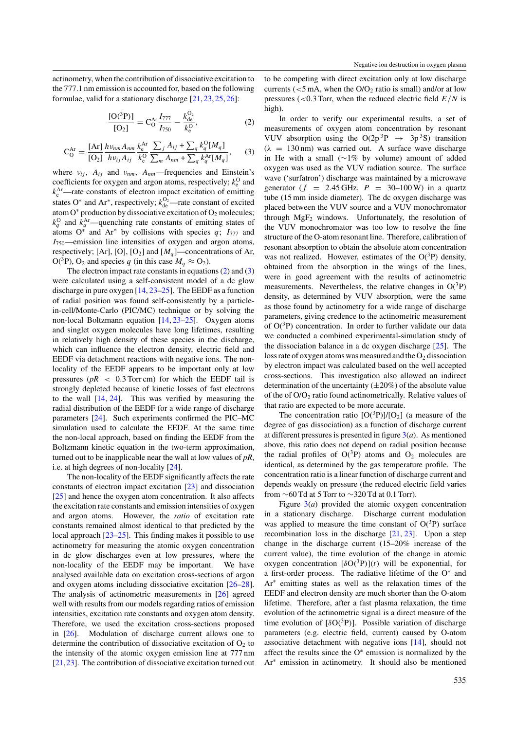actinometry, when the contribution of dissociative excitation to the 777.1 nm emission is accounted for, based on the following formulae, valid for a stationary discharge [\[21,](#page-10-0) [23,](#page-10-0) [25,](#page-10-0) [26\]](#page-10-0):

$$
\frac{[O(^{3}P)]}{[O_{2}]} = C_{O}^{Ar} \frac{I_{777}}{I_{750}} - \frac{k_{de}^{O_{2}}}{k_{e}^{O}},
$$
 (2)

$$
C_{O}^{Ar} = \frac{[Ar]}{[O_2]} \frac{h \nu_{nm} A_{nm}}{h \nu_{ij} A_{ij}} \frac{k_e^{Ar}}{k_e^O} \frac{\sum_j A_{ij} + \sum_q k_q^O [M_q]}{\sum_m A_{nm} + \sum_q k_q^{Ar} [M_q]},
$$
(3)

where  $v_{ij}$ ,  $A_{ij}$  and  $v_{nm}$ ,  $A_{nm}$ —frequencies and Einstein's coefficients for oxygen and argon atoms, respectively;  $k_e^O$  and  $k_{\rm e}^{\rm Ar}$ —rate constants of electron impact excitation of emitting states O<sup>\*</sup> and Ar<sup>\*</sup>, respectively;  $k_{de}^{O_2}$ —rate constant of excited atom O\* production by dissociative excitation of  $O_2$  molecules;  $k_q^O$  and  $k_q^{\text{Ar}}$ —quenching rate constants of emitting states of atoms O<sup>\*</sup> and Ar<sup>\*</sup> by collisions with species  $q$ ;  $I_{777}$  and *I*750—emission line intensities of oxygen and argon atoms, respectively; [Ar], [O], [O<sub>2</sub>] and  $[M_q]$ —concentrations of Ar, O(<sup>3</sup>P), O<sub>2</sub> and species *q* (in this case  $M_a \approx O_2$ ).

The electron impact rate constants in equations (2) and (3) were calculated using a self-consistent model of a dc glow discharge in pure oxygen [\[14,](#page-10-0) [23–25\]](#page-10-0). The EEDF as a function of radial position was found self-consistently by a particlein-cell/Monte-Carlo (PIC/MC) technique or by solving the non-local Boltzmann equation [\[14,](#page-10-0) [23–25\]](#page-10-0). Oxygen atoms and singlet oxygen molecules have long lifetimes, resulting in relatively high density of these species in the discharge, which can influence the electron density, electric field and EEDF via detachment reactions with negative ions. The nonlocality of the EEDF appears to be important only at low pressures (*pR <* 0*.*3 Torr cm) for which the EEDF tail is strongly depleted because of kinetic losses of fast electrons to the wall [\[14,](#page-10-0) [24\]](#page-10-0). This was verified by measuring the radial distribution of the EEDF for a wide range of discharge parameters [\[24\]](#page-10-0). Such experiments confirmed the PIC–MC simulation used to calculate the EEDF. At the same time the non-local approach, based on finding the EEDF from the Boltzmann kinetic equation in the two-term approximation, turned out to be inapplicable near the wall at low values of *pR*, i.e. at high degrees of non-locality [\[24\]](#page-10-0).

The non-locality of the EEDF significantly affects the rate constants of electron impact excitation [\[23\]](#page-10-0) and dissociation [\[25\]](#page-10-0) and hence the oxygen atom concentration. It also affects the excitation rate constants and emission intensities of oxygen and argon atoms. However, the *ratio* of excitation rate constants remained almost identical to that predicted by the local approach [\[23–25\]](#page-10-0). This finding makes it possible to use actinometry for measuring the atomic oxygen concentration in dc glow discharges even at low pressures, where the non-locality of the EEDF may be important. We have analysed available data on excitation cross-sections of argon and oxygen atoms including dissociative excitation [\[26–28\]](#page-10-0). The analysis of actinometric measurements in [\[26\]](#page-10-0) agreed well with results from our models regarding ratios of emission intensities, excitation rate constants and oxygen atom density. Therefore, we used the excitation cross-sections proposed in [\[26\]](#page-10-0). Modulation of discharge current allows one to determine the contribution of dissociative excitation of  $O_2$  to the intensity of the atomic oxygen emission line at 777 nm [\[21,23\]](#page-10-0). The contribution of dissociative excitation turned out to be competing with direct excitation only at low discharge currents ( $<$ 5 mA, when the  $O/O<sub>2</sub>$  ratio is small) and/or at low pressures (*<*0.3 Torr, when the reduced electric field *E/N* is high).

In order to verify our experimental results, a set of measurements of oxygen atom concentration by resonant VUV absorption using the  $O(2p^3P \rightarrow 3p^3S)$  transition  $(\lambda = 130 \text{ nm})$  was carried out. A surface wave discharge in He with a small (∼1% by volume) amount of added oxygen was used as the VUV radiation source. The surface wave ('surfatron') discharge was maintained by a microwave generator ( $f = 2.45$  GHz,  $P = 30-100$  W) in a quartz tube (15 mm inside diameter). The dc oxygen discharge was placed between the VUV source and a VUV monochromator through  $MgF_2$  windows. Unfortunately, the resolution of the VUV monochromator was too low to resolve the fine structure of the O-atom resonant line. Therefore, calibration of resonant absorption to obtain the absolute atom concentration was not realized. However, estimates of the  $O(^3P)$  density, obtained from the absorption in the wings of the lines, were in good agreement with the results of actinometric measurements. Nevertheless, the relative changes in  $O(^3P)$ density, as determined by VUV absorption, were the same as those found by actinometry for a wide range of discharge parameters, giving credence to the actinometric measurement of  $O(^3P)$  concentration. In order to further validate our data we conducted a combined experimental-simulation study of the dissociation balance in a dc oxygen discharge [\[25\]](#page-10-0). The loss rate of oxygen atoms was measured and the  $O<sub>2</sub>$  dissociation by electron impact was calculated based on the well accepted cross-sections. This investigation also allowed an indirect determination of the uncertainty  $(\pm 20\%)$  of the absolute value of the of O/O2 ratio found actinometrically. Relative values of that ratio are expected to be more accurate.

The concentration ratio  $[O(^3P)]/[O_2]$  (a measure of the degree of gas dissociation) as a function of discharge current at different pressures is presented in figure  $3(a)$  $3(a)$ . As mentioned above, this ratio does not depend on radial position because the radial profiles of  $O(^3P)$  atoms and  $O_2$  molecules are identical, as determined by the gas temperature profile. The concentration ratio is a linear function of discharge current and depends weakly on pressure (the reduced electric field varies from  $\sim$ 60 Td at 5 Torr to  $\sim$ 320 Td at 0.1 Torr).

Figure [3\(](#page-4-0)*a*) provided the atomic oxygen concentration in a stationary discharge. Discharge current modulation was applied to measure the time constant of  $O(^3P)$  surface recombination loss in the discharge [\[21,](#page-10-0) [23\]](#page-10-0). Upon a step change in the discharge current (15–20% increase of the current value), the time evolution of the change in atomic oxygen concentration [*δ*O*(*3P*)*]*(t)* will be exponential, for a first-order process. The radiative lifetime of the O<sup>∗</sup> and Ar<sup>∗</sup> emitting states as well as the relaxation times of the EEDF and electron density are much shorter than the O-atom lifetime. Therefore, after a fast plasma relaxation, the time evolution of the actinometric signal is a direct measure of the time evolution of  $[\delta O({}^3P)]$ . Possible variation of discharge parameters (e.g. electric field, current) caused by O-atom associative detachment with negative ions [\[14\]](#page-10-0), should not affect the results since the O<sup>∗</sup> emission is normalized by the Ar<sup>∗</sup> emission in actinometry. It should also be mentioned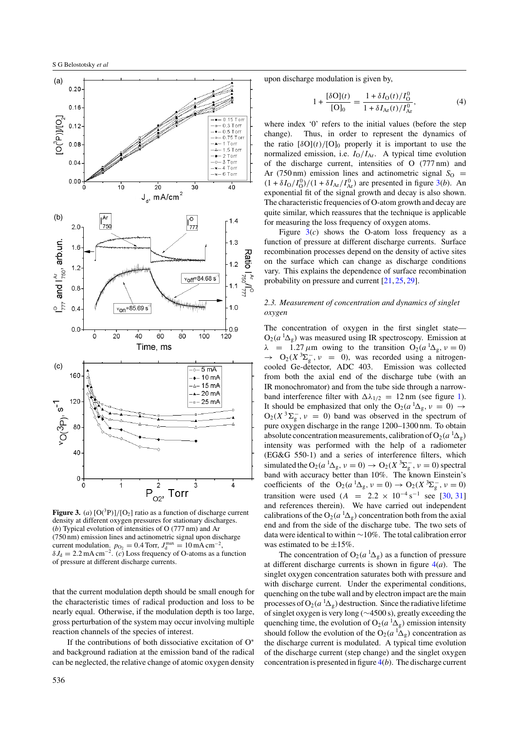<span id="page-4-0"></span>

density at different oxygen pressures for stationary discharges. (*b*) Typical evolution of intensities of O (777 nm) and Ar (750 nm) emission lines and actinometric signal upon discharge current modulation.  $p_{\text{O}_2} = 0.4$  Torr,  $J_{\text{d}}^{\text{max}} = 10 \text{ mA cm}^{-2}$ ,  $\delta J_d = 2.2 \text{ mA cm}^{-2}$ . (*c*) Loss frequency of O-atoms as a function of pressure at different discharge currents.

that the current modulation depth should be small enough for the characteristic times of radical production and loss to be nearly equal. Otherwise, if the modulation depth is too large, gross perturbation of the system may occur involving multiple reaction channels of the species of interest.

If the contributions of both dissociative excitation of O∗ and background radiation at the emission band of the radical can be neglected, the relative change of atomic oxygen density upon discharge modulation is given by,

$$
1 + \frac{[\delta O](t)}{[O]_0} = \frac{1 + \delta I_0(t)/I_0^0}{1 + \delta I_{\text{Ar}}(t)/I_{\text{Ar}}^0},\tag{4}
$$

where index '0' refers to the initial values (before the step change). Thus, in order to represent the dynamics of the ratio  $[\delta O](t)/[O]_0$  properly it is important to use the normalized emission, i.e.  $I_0/I_{Ar}$ . A typical time evolution of the discharge current, intensities of O (777 nm) and Ar (750 nm) emission lines and actinometric signal  $S_{\Omega}$  =  $(1 + \delta I_0/I_0^0)/(1 + \delta I_{Ar}/I_{Ar}^0)$  are presented in figure 3(*b*). An exponential fit of the signal growth and decay is also shown. The characteristic frequencies of O-atom growth and decay are quite similar, which reassures that the technique is applicable for measuring the loss frequency of oxygen atoms.

Figure  $3(c)$  shows the O-atom loss frequency as a function of pressure at different discharge currents. Surface recombination processes depend on the density of active sites on the surface which can change as discharge conditions vary. This explains the dependence of surface recombination probability on pressure and current [\[21,](#page-10-0) [25,](#page-10-0) [29\]](#page-10-0).

# *2.3. Measurement of concentration and dynamics of singlet oxygen*

The concentration of oxygen in the first singlet state—  $O_2(a^1\Delta_g)$  was measured using IR spectroscopy. Emission at  $\lambda$  = 1.27  $\mu$ m owing to the transition O<sub>2</sub>( $a^{1}\Delta_{g}$ ,  $\nu = 0$ )  $\rightarrow$  O<sub>2</sub>(X<sup>3</sup> $\Sigma_g^-$ ,  $\nu = 0$ ), was recorded using a nitrogencooled Ge-detector, ADC 403. Emission was collected from both the axial end of the discharge tube (with an IR monochromator) and from the tube side through a narrowband interference filter with  $\Delta\lambda_{1/2} = 12$  nm (see figure [1\)](#page-1-0). It should be emphasized that only the  $O_2(a^{-1}\Delta_g, \nu = 0) \rightarrow$  $O_2(X^3\Sigma_g^-$ ,  $\nu = 0)$  band was observed in the spectrum of pure oxygen discharge in the range 1200–1300 nm. To obtain absolute concentration measurements, calibration of  $O_2(a^2\Delta_g)$ intensity was performed with the help of a radiometer (EG&G 550-1) and a series of interference filters, which simulated the  $O_2(a^{-1}\Delta_g, \nu = 0) \rightarrow O_2(X^3\Sigma_g^-, \nu = 0)$  spectral band with accuracy better than 10%. The known Einstein's coefficients of the  $O_2(a^1\Delta_g, \nu = 0) \rightarrow O_2(X^3\Sigma_g^-, \nu = 0)$ transition were used  $(A = 2.2 \times 10^{-4} \text{ s}^{-1} \text{ sec} [30, 31]$  $(A = 2.2 \times 10^{-4} \text{ s}^{-1} \text{ sec} [30, 31]$  $(A = 2.2 \times 10^{-4} \text{ s}^{-1} \text{ sec} [30, 31]$  $(A = 2.2 \times 10^{-4} \text{ s}^{-1} \text{ sec} [30, 31]$ and references therein). We have carried out independent calibrations of the  $O_2(a^2\Delta_g)$  concentration both from the axial end and from the side of the discharge tube. The two sets of data were identical to within ∼10%. The total calibration error was estimated to be  $\pm 15\%$ .

The concentration of  $O_2(a^2\Delta_g)$  as a function of pressure at different discharge currents is shown in figure [4\(](#page-5-0)*a*). The singlet oxygen concentration saturates both with pressure and with discharge current. Under the experimental conditions, quenching on the tube wall and by electron impact are the main processes of  $O_2(a^{-1}\Delta_g)$  destruction. Since the radiative lifetime of singlet oxygen is very long (∼4500 s), greatly exceeding the quenching time, the evolution of  $O_2(a^{-1}\Delta_g)$  emission intensity should follow the evolution of the  $O_2(a^{-1}\Delta_g)$  concentration as the discharge current is modulated. A typical time evolution of the discharge current (step change) and the singlet oxygen concentration is presented in figure [4\(](#page-5-0)*b*). The discharge current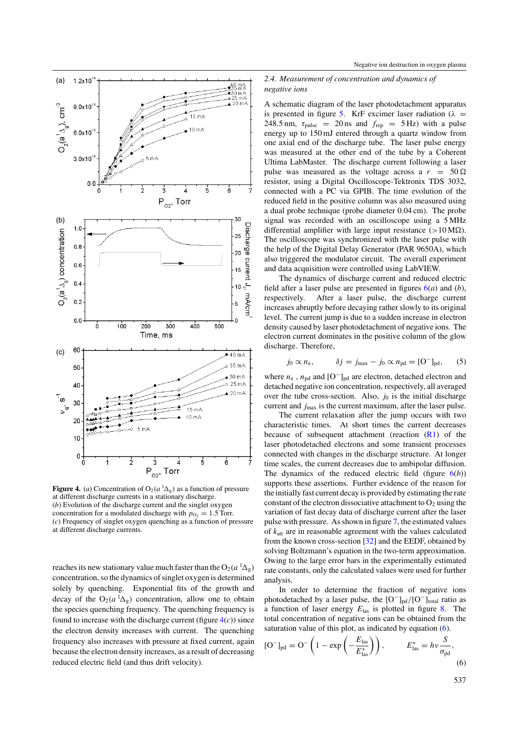<span id="page-5-0"></span>

**Figure 4.** (*a*) Concentration of  $O_2(a^{-1}\Delta_g)$  as a function of pressure at different discharge currents in a stationary discharge. (*b*) Evolution of the discharge current and the singlet oxygen concentration for a modulated discharge with  $p_{\text{O}_2} = 1.5$  Torr. (*c*) Frequency of singlet oxygen quenching as a function of pressure at different discharge currents.

reaches its new stationary value much faster than the  $O_2(a^2\Delta_g)$ concentration, so the dynamics of singlet oxygen is determined solely by quenching. Exponential fits of the growth and decay of the  $O_2(a^{-1}\Delta_g)$  concentration, allow one to obtain the species quenching frequency. The quenching frequency is found to increase with the discharge current (figure  $4(c)$ ) since the electron density increases with current. The quenching frequency also increases with pressure at fixed current, again because the electron density increases, as a result of decreasing reduced electric field (and thus drift velocity).

# *2.4. Measurement of concentration and dynamics of negative ions*

A schematic diagram of the laser photodetachment apparatus is presented in figure [5.](#page-6-0) KrF excimer laser radiation  $(\lambda =$ 248.5 nm,  $\tau_{\text{pulse}} = 20 \text{ ns}$  and  $f_{\text{rep}} = 5 \text{ Hz}$ ) with a pulse energy up to 150 mJ entered through a quartz window from one axial end of the discharge tube. The laser pulse energy was measured at the other end of the tube by a Coherent Ultima LabMaster. The discharge current following a laser pulse was measured as the voltage across a  $r = 50 \Omega$ resistor, using a Digital Oscilloscope-Tektronix TDS 3032, connected with a PC via GPIB. The time evolution of the reduced field in the positive column was also measured using a dual probe technique (probe diameter 0.04 cm). The probe signal was recorded with an oscilloscope using a 5 MHz differential amplifier with large input resistance  $(>10 M\Omega)$ . The oscilloscope was synchronized with the laser pulse with the help of the Digital Delay Generator (PAR 9650A), which also triggered the modulator circuit. The overall experiment and data acquisition were controlled using LabVIEW.

The dynamics of discharge current and reduced electric field after a laser pulse are presented in figures  $6(a)$  $6(a)$  and  $(b)$ , respectively. After a laser pulse, the discharge current increases abruptly before decaying rather slowly to its original level. The current jump is due to a sudden increase in electron density caused by laser photodetachment of negative ions. The electron current dominates in the positive column of the glow discharge. Therefore,

$$
j_0 \propto n_e, \qquad \delta j = j_{\text{max}} - j_0 \propto n_{\text{pd}} = [\text{O}^-]_{\text{pd}}, \qquad (5)
$$

where  $n_e$ ,  $n_{pd}$  and  $[O^-]_{pd}$  are electron, detached electron and detached negative ion concentration, respectively, all averaged over the tube cross-section. Also,  $j_0$  is the initial discharge current and *j*max is the current maximum, after the laser pulse.

The current relaxation after the jump occurs with two characteristic times. At short times the current decreases because of subsequent attachment (reaction  $(R1)$  of the laser photodetached electrons and some transient processes connected with changes in the discharge structure. At longer time scales, the current decreases due to ambipolar diffusion. The dynamics of the reduced electric field (figure  $6(b)$  $6(b)$ ) supports these assertions. Further evidence of the reason for the initially fast current decay is provided by estimating the rate constant of the electron dissociative attachment to  $O_2$  using the variation of fast decay data of discharge current after the laser pulse with pressure. As shown in figure [7,](#page-6-0) the estimated values of *k*att are in reasonable agreement with the values calculated from the known cross-section [\[32\]](#page-10-0) and the EEDF, obtained by solving Boltzmann's equation in the two-term approximation. Owing to the large error bars in the experimentally estimated rate constants, only the calculated values were used for further analysis.

In order to determine the fraction of negative ions photodetached by a laser pulse, the [O<sup>−</sup>]<sub>pd</sub>/[O<sup>−</sup>]<sub>total</sub> ratio as a function of laser energy *E*las is plotted in figure [8.](#page-6-0) The total concentration of negative ions can be obtained from the saturation value of this plot, as indicated by equation [\(6\)](#page-6-0).

$$
[\mathbf{O}^-]_{\mathrm{pd}} = \mathbf{O}^- \left( 1 - \exp\left( -\frac{E_{\mathrm{las}}}{E_{\mathrm{las}}^*} \right) \right), \qquad E_{\mathrm{las}}^* = h \nu \frac{S}{\sigma_{\mathrm{pd}}},\tag{6}
$$

537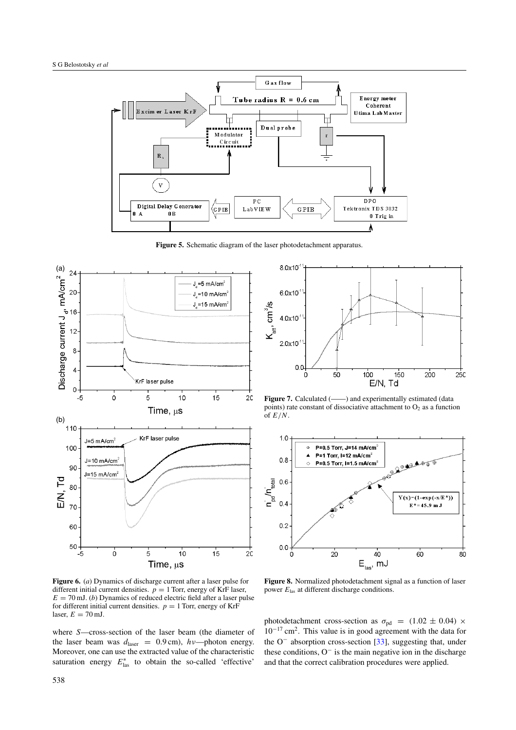#### <span id="page-6-0"></span>S G Belostotsky *et al*



**Figure 5.** Schematic diagram of the laser photodetachment apparatus.



**Figure 6.** (*a*) Dynamics of discharge current after a laser pulse for different initial current densities.  $p = 1$  Torr, energy of KrF laser,  $E = 70$  mJ. (*b*) Dynamics of reduced electric field after a laser pulse for different initial current densities.  $p = 1$  Torr, energy of KrF laser,  $E = 70$  mJ.

where *S*—cross-section of the laser beam (the diameter of the laser beam was *d*laser = 0*.*9 cm), *hν*—photon energy. Moreover, one can use the extracted value of the characteristic saturation energy  $E_{\text{las}}^*$  to obtain the so-called 'effective'



Figure 7. Calculated (--) and experimentally estimated (data points) rate constant of dissociative attachment to  $O_2$  as a function of  $E/N$ .



**Figure 8.** Normalized photodetachment signal as a function of laser power *E*las at different discharge conditions.

photodetachment cross-section as  $\sigma_{pd}$  = (1.02 ± 0.04) × 10−<sup>17</sup> cm2. This value is in good agreement with the data for the  $O^-$  absorption cross-section [\[33\]](#page-10-0), suggesting that, under these conditions,  $O^-$  is the main negative ion in the discharge and that the correct calibration procedures were applied.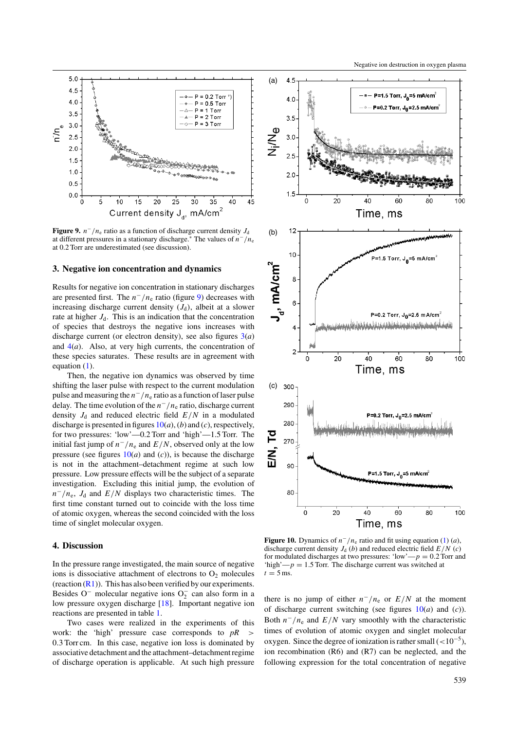<span id="page-7-0"></span>

**Figure 9.**  $n^-/n_e$  ratio as a function of discharge current density  $J_d$ at different pressures in a stationary discharge.<sup>∗</sup> The values of *n*−*/n*<sup>e</sup> at 0.2 Torr are underestimated (see discussion).

#### **3. Negative ion concentration and dynamics**

Results for negative ion concentration in stationary discharges are presented first. The  $n^{-}/n_e$  ratio (figure 9) decreases with increasing discharge current density  $(J_d)$ , albeit at a slower rate at higher  $J<sub>d</sub>$ . This is an indication that the concentration of species that destroys the negative ions increases with discharge current (or electron density), see also figures [3\(](#page-4-0)*a*) and [4\(](#page-5-0)*a*). Also, at very high currents, the concentration of these species saturates. These results are in agreement with equation [\(1\)](#page-2-0).

Then, the negative ion dynamics was observed by time shifting the laser pulse with respect to the current modulation pulse and measuring the *n*−*/n*<sup>e</sup> ratio as a function of laser pulse delay. The time evolution of the *n*−*/n*<sup>e</sup> ratio, discharge current density  $J_d$  and reduced electric field  $E/N$  in a modulated discharge is presented in figures 10(*a*), (*b*) and (*c*), respectively, for two pressures: 'low'—0.2 Torr and 'high'—1.5 Torr. The initial fast jump of  $n^-/n_e$  and  $E/N$ , observed only at the low pressure (see figures  $10(a)$  and (*c*)), is because the discharge is not in the attachment–detachment regime at such low pressure. Low pressure effects will be the subject of a separate investigation. Excluding this initial jump, the evolution of  $n^{-}/n_e$ , *J*<sub>d</sub> and *E/N* displays two characteristic times. The first time constant turned out to coincide with the loss time of atomic oxygen, whereas the second coincided with the loss time of singlet molecular oxygen.

#### **4. Discussion**

In the pressure range investigated, the main source of negative ions is dissociative attachment of electrons to  $O_2$  molecules (reaction  $(R1)$ ). This has also been verified by our experiments. Besides O<sup>−</sup> molecular negative ions  $O_2^-$  can also form in a low pressure oxygen discharge [\[18\]](#page-10-0). Important negative ion reactions are presented in table [1.](#page-8-0)

Two cases were realized in the experiments of this work: the 'high' pressure case corresponds to *pR >* 0*.*3 Torr cm. In this case, negative ion loss is dominated by associative detachment and the attachment–detachment regime of discharge operation is applicable. At such high pressure



**Figure 10.** Dynamics of  $n^{-}/n_e$  ratio and fit using equation [\(1\)](#page-2-0) (*a*), discharge current density  $J_d$  (*b*) and reduced electric field  $E/N$  (*c*) for modulated discharges at two pressures: 'low' $-p = 0.2$  Torr and 'high' $-p = 1.5$  Torr. The discharge current was switched at  $t = 5$  ms.

there is no jump of either  $n^{-}/n_e$  or  $E/N$  at the moment of discharge current switching (see figures 10(*a*) and (*c*)). Both  $n^-/n_e$  and  $E/N$  vary smoothly with the characteristic times of evolution of atomic oxygen and singlet molecular oxygen. Since the degree of ionization is rather small (*<*10−5), ion recombination (R6) and (R7) can be neglected, and the following expression for the total concentration of negative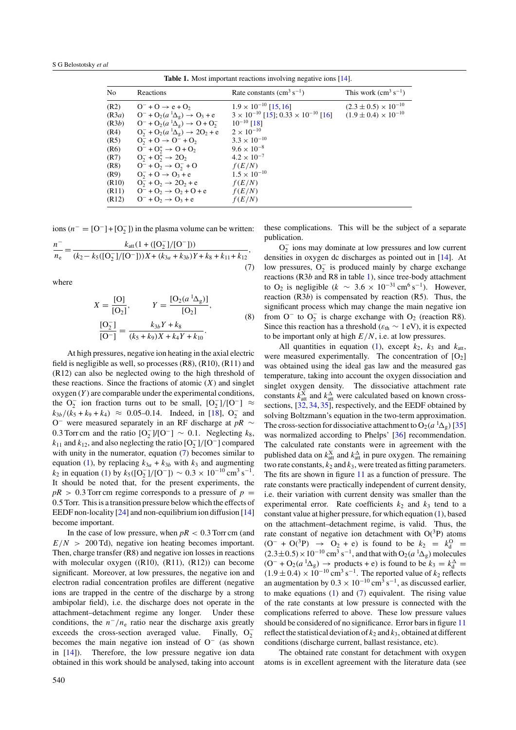<span id="page-8-0"></span>No Reactions Rate constants  $(\text{cm}^3 \text{ s}^{-1})$  This work  $(\text{cm}^3 \text{ s}^{-1})$ (R2)  $O^- + O \rightarrow e + O_2$   $1.9 \times 10^{-10}$  [\[15,](#page-10-0) [16\]](#page-10-0)  $(2.3 \pm 0.5) \times 10^{-10}$ <br>
(R3*a*)  $O^- + O_2(a^1\Delta_e) \rightarrow O_3 + e$   $3 \times 10^{-10}$  [15]; 0.33 × 10<sup>-10</sup> [16]  $(1.9 \pm 0.4) \times 10^{-10}$  $O^- + O_2(a^1\Delta_g) \rightarrow O_3 + e$  $3 \times 10^{-10}$  [\[15\]](#page-10-0); 0.33  $\times 10^{-10}$  [\[16\]](#page-10-0)  $(R3b)$  0<sup>−</sup> + O<sub>2</sub>( $a^{1}\Delta_{g}$ ) → O + O<sub>2</sub><sup>−</sup>  $10^{-10}$  [\[18\]](#page-10-0)<br>2 × 10<sup>-10</sup>  $(R4)$  $\frac{1}{2} + O_2(a^1 \Delta_g) \rightarrow 2O_2 + e \qquad 2 \times 10^{-10}$  $(R5)$  $O_2^- + O \to O^{\bar{-}} + O_2$ <br>  $O^- + O_2^+ \to O + O_2$ <br>  $9.6 \times 10^{-8}$ (R6)  $Q^- + Q^+$  →  $Q + Q^2$  9.6 × 10<sup>-8</sup>  $(R7)$  $O_2^- + O_2^+ \rightarrow 2O_2$  $4.2\times10^{-7}$ (R8)  $O^{-} + O_{2}^{-} \rightarrow O_{2}^{-} + O_{1}^{-}$  $\begin{array}{l} f(E/N) \\ 1.5\times 10^{-10} \end{array}$  $(R9)$  $O_2^- + O \to O_3^- + e$  1.5 × 10<br>  $O_2^- + O_2 \to 2O_2 + e$   $f(E/N)$  $(R10)$ <br> $(R11)$  $O_2^2 + O_2 \rightarrow 2O_2 + e$   $f(E/N)$ <br>  $O^- + O_2 \rightarrow O_2 + O + e$   $f(E/N)$ (R11)  $0^- + 0_2 \rightarrow 0_2 + 0 + e$  *f* (*E/N*)<br>(R12)  $0^- + 0_2 \rightarrow 0_3 + e$  *f* (*E/N*)  $O^- + O_2 \rightarrow O_3 + e$ 

Table 1. Most important reactions involving negative ions [\[14\]](#page-10-0).

ions  $(n^- = [O^-] + [O_2^-])$  in the plasma volume can be written:

$$
\frac{n^{-}}{n_{e}} = \frac{k_{\text{att}}(1 + ([O_{2}^{-}]/[O^{-}]))}{(k_{2} - k_{5}([O_{2}^{-}]/[O^{-}]))X + (k_{3a} + k_{3b})Y + k_{8} + k_{11} + k_{12}},\tag{7}
$$

where

$$
X = \frac{[O]}{[O_2]}, \qquad Y = \frac{[O_2(a^{-1}\Delta_g)]}{[O_2]},
$$
  

$$
\frac{[O_2^-]}{[O^-]} = \frac{k_{3b}Y + k_8}{(k_5 + k_9)X + k_4Y + k_{10}}.
$$
 (8)

At high pressures, negative ion heating in the axial electric field is negligible as well, so processes (R8), (R10), (R11) and (R12) can also be neglected owing to the high threshold of these reactions. Since the fractions of atomic  $(X)$  and singlet oxygen (*Y* ) are comparable under the experimental conditions, the  $O_2^-$  ion fraction turns out to be small,  $[O_2^-]/[O^-] \approx$  $k_{3b}/(k_5 + k_9 + k_4) \approx 0.05 - 0.14$ . Indeed, in [\[18\]](#page-10-0), O<sub>2</sub> and O<sup>−</sup> were measured separately in an RF discharge at *pR* ∼ 0.3 Torr cm and the ratio  $[O_2^-]/[O^-] \sim 0.1$ . Neglecting  $k_8$ , *k*<sup>11</sup> and *k*12, and also neglecting the ratio [O<sup>−</sup> <sup>2</sup> ]*/*[O−] compared with unity in the numerator, equation [\(7\)](#page-7-0) becomes similar to equation [\(1\)](#page-2-0), by replacing  $k_{3a} + k_{3b}$  with  $k_3$  and augmenting  $k_2$  in equation [\(1\)](#page-2-0) by  $k_5([O_2^-]/[O^-]) \sim 0.3 \times 10^{-10} \text{ cm}^3 \text{ s}^{-1}$ . It should be noted that, for the present experiments, the  $pR$  > 0.3 Torr cm regime corresponds to a pressure of  $p =$ 0*.*5 Torr. This is a transition pressure below which the effects of EEDF non-locality [\[24\]](#page-10-0) and non-equilibrium ion diffusion [\[14\]](#page-10-0) become important.

In the case of low pressure, when  $pR < 0.3$  Torr cm (and  $E/N > 200$  Td), negative ion heating becomes important. Then, charge transfer (R8) and negative ion losses in reactions with molecular oxygen  $((R10), (R11), (R12))$  can become significant. Moreover, at low pressures, the negative ion and electron radial concentration profiles are different (negative ions are trapped in the centre of the discharge by a strong ambipolar field), i.e. the discharge does not operate in the attachment–detachment regime any longer. Under these conditions, the *n*−*/n*<sup>e</sup> ratio near the discharge axis greatly exceeds the cross-section averaged value. Finally,  $O_2^$ becomes the main negative ion instead of O<sup>−</sup> (as shown in [\[14\]](#page-10-0)). Therefore, the low pressure negative ion data obtained in this work should be analysed, taking into account

these complications. This will be the subject of a separate publication.

 $O_2^-$  ions may dominate at low pressures and low current densities in oxygen dc discharges as pointed out in [\[14\]](#page-10-0). At low pressures,  $O_2^-$  is produced mainly by charge exchange reactions (R3*b* and R8 in table 1), since tree-body attachment to O<sub>2</sub> is negligible ( $k \sim 3.6 \times 10^{-31}$  cm<sup>6</sup> s<sup>-1</sup>). However, reaction (R3*b*) is compensated by reaction (R5). Thus, the significant process which may change the main negative ion from  $O^-$  to  $O_2^-$  is charge exchange with  $O_2$  (reaction R8). Since this reaction has a threshold ( $\varepsilon_{\text{th}} \sim 1 \text{ eV}$ ), it is expected to be important only at high *E/N*, i.e. at low pressures.

All quantities in equation [\(1\)](#page-2-0), except  $k_2$ ,  $k_3$  and  $k_{\text{att}}$ , were measured experimentally. The concentration of  $[O_2]$ was obtained using the ideal gas law and the measured gas temperature, taking into account the oxygen dissociation and singlet oxygen density. The dissociative attachment rate constants  $k_{\text{att}}^{\text{X}}$  and  $k_{\text{att}}^{\Delta}$  were calculated based on known crosssections, [\[32,](#page-10-0) [34,](#page-10-0) [35\]](#page-10-0), respectively, and the EEDF obtained by solving Boltzmann's equation in the two-term approximation. The cross-section for dissociative attachment to  $O_2(a^2\Delta_g)$  [\[35\]](#page-10-0) was normalized according to Phelps' [\[36\]](#page-10-0) recommendation. The calculated rate constants were in agreement with the published data on  $k_{\text{att}}^{\text{X}}$  and  $k_{\text{att}}^{\Delta}$  in pure oxygen. The remaining two rate constants,  $k_2$  and  $k_3$ , were treated as fitting parameters. The fits are shown in figure [11](#page-9-0) as a function of pressure. The rate constants were practically independent of current density, i.e. their variation with current density was smaller than the experimental error. Rate coefficients  $k_2$  and  $k_3$  tend to a constant value at higher pressure, for which equation [\(1\)](#page-2-0), based on the attachment–detachment regime, is valid. Thus, the rate constant of negative ion detachment with  $O(^3P)$  atoms  $(O^- + O(^3P) \rightarrow O_2 + e)$  is found to be  $k_2 = k_d^O =$  $(2.3\pm0.5) \times 10^{-10}$  cm<sup>3</sup> s<sup>-1</sup>, and that with O<sub>2</sub>( $a^{1}\Delta_{g}$ ) molecules  $(O^- + O_2(a^1\Delta_g) \rightarrow$  products + e) is found to be  $k_3 = k_d^{\Delta} =$  $(1.9 \pm 0.4) \times 10^{-10}$  cm<sup>3</sup> s<sup>-1</sup>. The reported value of  $k_2$  reflects an augmentation by  $0.3 \times 10^{-10}$  cm<sup>3</sup> s<sup>-1</sup>, as discussed earlier, to make equations [\(1\)](#page-2-0) and [\(7\)](#page-7-0) equivalent. The rising value of the rate constants at low pressure is connected with the complications referred to above. These low pressure values should be considered of no significance. Error bars in figure [11](#page-9-0) reflect the statistical deviation of  $k_2$  and  $k_3$ , obtained at different conditions (discharge current, ballast resistance, etc).

The obtained rate constant for detachment with oxygen atoms is in excellent agreement with the literature data (see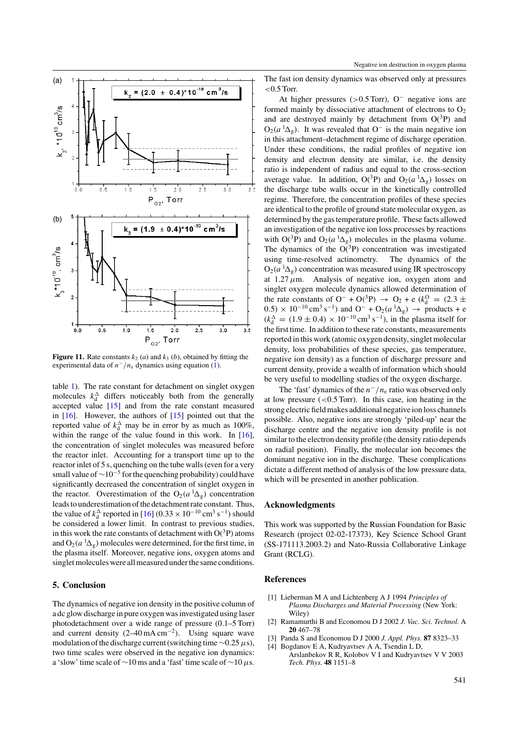<span id="page-9-0"></span>

**Figure 11.** Rate constants  $k_2$  (*a*) and  $k_3$  (*b*), obtained by fitting the experimental data of *n*−*/n*<sup>e</sup> dynamics using equation [\(1\)](#page-2-0).

table [1\)](#page-8-0). The rate constant for detachment on singlet oxygen molecules  $k_d^{\Delta}$  differs noticeably both from the generally accepted value [\[15\]](#page-10-0) and from the rate constant measured in [\[16\]](#page-10-0). However, the authors of [\[15\]](#page-10-0) pointed out that the reported value of  $k_d^{\Delta}$  may be in error by as much as 100%, within the range of the value found in this work. In [\[16\]](#page-10-0), the concentration of singlet molecules was measured before the reactor inlet. Accounting for a transport time up to the reactor inlet of 5 s, quenching on the tube walls (even for a very small value of  $\sim$ 10<sup>-5</sup> for the quenching probability) could have significantly decreased the concentration of singlet oxygen in the reactor. Overestimation of the  $O_2(a^{-1}\Delta_g)$  concentration leads to underestimation of the detachment rate constant. Thus, the value of  $k_d^{\Delta}$  reported in [\[16\]](#page-10-0) (0.33 × 10<sup>-10</sup> cm<sup>3</sup> s<sup>-1</sup>) should be considered a lower limit. In contrast to previous studies, in this work the rate constants of detachment with  $O(^3P)$  atoms and  $O_2(a^{-1}\Delta_g)$  molecules were determined, for the first time, in the plasma itself. Moreover, negative ions, oxygen atoms and singlet molecules were all measured under the same conditions.

# **5. Conclusion**

The dynamics of negative ion density in the positive column of a dc glow discharge in pure oxygen was investigated using laser photodetachment over a wide range of pressure (0.1–5 Torr) and current density (2–40 mA cm−2*)*. Using square wave modulation of the discharge current (switching time∼0.25*µ*s), two time scales were observed in the negative ion dynamics: a 'slow' time scale of ∼10 ms and a 'fast' time scale of ∼10*µ*s. The fast ion density dynamics was observed only at pressures *<*0.5 Torr.

At higher pressures (*>*0.5 Torr), O<sup>−</sup> negative ions are formed mainly by dissociative attachment of electrons to  $O<sub>2</sub>$ and are destroyed mainly by detachment from  $O(^3P)$  and  $O_2(a^1\Delta_g)$ . It was revealed that O<sup>−</sup> is the main negative ion in this attachment–detachment regime of discharge operation. Under these conditions, the radial profiles of negative ion density and electron density are similar, i.e. the density ratio is independent of radius and equal to the cross-section average value. In addition,  $O(^3P)$  and  $O_2(a^2\Delta_g)$  losses on the discharge tube walls occur in the kinetically controlled regime. Therefore, the concentration profiles of these species are identical to the profile of ground state molecular oxygen, as determined by the gas temperature profile. These facts allowed an investigation of the negative ion loss processes by reactions with  $O(^3P)$  and  $O_2(a^2\Delta_g)$  molecules in the plasma volume. The dynamics of the  $O(3P)$  concentration was investigated using time-resolved actinometry. The dynamics of the  $O_2(a<sup>1</sup>\Delta_g)$  concentration was measured using IR spectroscopy at  $1.27 \mu$ m. Analysis of negative ion, oxygen atom and singlet oxygen molecule dynamics allowed determination of the rate constants of  $O^- + O(^3P) \rightarrow O_2 + e$  ( $k_d^O = (2.3 \pm 1)$ 0.5) × 10<sup>-10</sup> cm<sup>3</sup> s<sup>-1</sup>) and O<sup>−</sup> + O<sub>2</sub>( $a$ <sup>1</sup> $\Delta$ <sub>g</sub>) → products + e  $(k_d^{\Delta} = (1.9 \pm 0.4) \times 10^{-10} \text{ cm}^3 \text{ s}^{-1})$ , in the plasma itself for the first time. In addition to these rate constants, measurements reported in this work (atomic oxygen density, singlet molecular density, loss probabilities of these species, gas temperature, negative ion density) as a function of discharge pressure and current density, provide a wealth of information which should be very useful to modelling studies of the oxygen discharge.

The 'fast' dynamics of the *n*−*/n*<sup>e</sup> ratio was observed only at low pressure (*<*0.5 Torr). In this case, ion heating in the strong electric field makes additional negative ion loss channels possible. Also, negative ions are strongly 'piled-up' near the discharge centre and the negative ion density profile is not similar to the electron density profile (the density ratio depends on radial position). Finally, the molecular ion becomes the dominant negative ion in the discharge. These complications dictate a different method of analysis of the low pressure data, which will be presented in another publication.

#### **Acknowledgments**

This work was supported by the Russian Foundation for Basic Research (project 02-02-17373), Key Science School Grant (SS-171113.2003.2) and Nato-Russia Collaborative Linkage Grant (RCLG).

### **References**

- [1] Lieberman M A and Lichtenberg A J 1994 *Principles of Plasma Discharges and Material Processing* (New York: Wiley)
- [2] Ramamurthi B and Economou D J 2002 *J. Vac. Sci. Technol.* A **20** 467–78
- [3] Panda S and Economou D J 2000 *J. Appl. Phys.* **87** 8323–33
- [4] Bogdanov E A, Kudryavtsev A A, Tsendin L D, Arslanbekov R R, Kolobov V I and Kudryavtsev V V 2003 *Tech. Phys.* **48** 1151–8